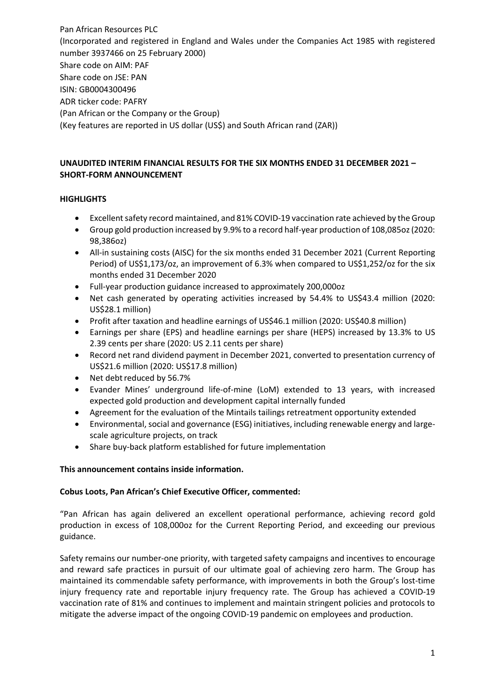Pan African Resources PLC (Incorporated and registered in England and Wales under the Companies Act 1985 with registered number 3937466 on 25 February 2000) Share code on AIM: PAF Share code on JSE: PAN ISIN: GB0004300496 ADR ticker code: PAFRY (Pan African or the Company or the Group) (Key features are reported in US dollar (US\$) and South African rand (ZAR))

# **UNAUDITED INTERIM FINANCIAL RESULTS FOR THE SIX MONTHS ENDED 31 DECEMBER 2021 – SHORT-FORM ANNOUNCEMENT**

## **HIGHLIGHTS**

- Excellent safety record maintained, and 81% COVID-19 vaccination rate achieved by the Group
- Group gold production increased by 9.9% to a record half-year production of 108,085oz (2020: 98,386oz)
- All-in sustaining costs (AISC) for the six months ended 31 December 2021 (Current Reporting Period) of US\$1,173/oz, an improvement of 6.3% when compared to US\$1,252/oz for the six months ended 31 December 2020
- Full-year production guidance increased to approximately 200,000oz
- Net cash generated by operating activities increased by 54.4% to US\$43.4 million (2020: US\$28.1 million)
- Profit after taxation and headline earnings of US\$46.1 million (2020: US\$40.8 million)
- Earnings per share (EPS) and headline earnings per share (HEPS) increased by 13.3% to US 2.39 cents per share (2020: US 2.11 cents per share)
- Record net rand dividend payment in December 2021, converted to presentation currency of US\$21.6 million (2020: US\$17.8 million)
- Net debt reduced by 56.7%
- Evander Mines' underground life-of-mine (LoM) extended to 13 years, with increased expected gold production and development capital internally funded
- Agreement for the evaluation of the Mintails tailings retreatment opportunity extended
- Environmental, social and governance (ESG) initiatives, including renewable energy and largescale agriculture projects, on track
- Share buy-back platform established for future implementation

## **This announcement contains inside information.**

## **Cobus Loots, Pan African's Chief Executive Officer, commented:**

"Pan African has again delivered an excellent operational performance, achieving record gold production in excess of 108,000oz for the Current Reporting Period, and exceeding our previous guidance.

Safety remains our number-one priority, with targeted safety campaigns and incentives to encourage and reward safe practices in pursuit of our ultimate goal of achieving zero harm. The Group has maintained its commendable safety performance, with improvements in both the Group's lost-time injury frequency rate and reportable injury frequency rate. The Group has achieved a COVID-19 vaccination rate of 81% and continues to implement and maintain stringent policies and protocols to mitigate the adverse impact of the ongoing COVID-19 pandemic on employees and production.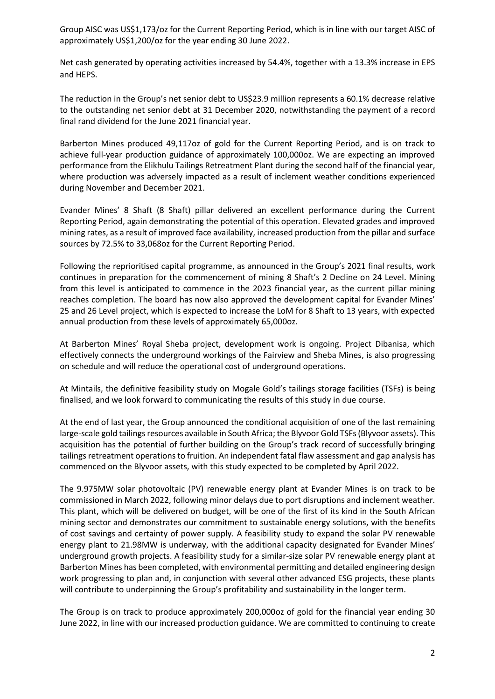Group AISC was US\$1,173/oz for the Current Reporting Period, which is in line with our target AISC of approximately US\$1,200/oz for the year ending 30 June 2022.

Net cash generated by operating activities increased by 54.4%, together with a 13.3% increase in EPS and HEPS.

The reduction in the Group's net senior debt to US\$23.9 million represents a 60.1% decrease relative to the outstanding net senior debt at 31 December 2020, notwithstanding the payment of a record final rand dividend for the June 2021 financial year.

Barberton Mines produced 49,117oz of gold for the Current Reporting Period, and is on track to achieve full-year production guidance of approximately 100,000oz. We are expecting an improved performance from the Elikhulu Tailings Retreatment Plant during the second half of the financial year, where production was adversely impacted as a result of inclement weather conditions experienced during November and December 2021.

Evander Mines' 8 Shaft (8 Shaft) pillar delivered an excellent performance during the Current Reporting Period, again demonstrating the potential of this operation. Elevated grades and improved mining rates, as a result of improved face availability, increased production from the pillar and surface sources by 72.5% to 33,068oz for the Current Reporting Period.

Following the reprioritised capital programme, as announced in the Group's 2021 final results, work continues in preparation for the commencement of mining 8 Shaft's 2 Decline on 24 Level. Mining from this level is anticipated to commence in the 2023 financial year, as the current pillar mining reaches completion. The board has now also approved the development capital for Evander Mines' 25 and 26 Level project, which is expected to increase the LoM for 8 Shaft to 13 years, with expected annual production from these levels of approximately 65,000oz.

At Barberton Mines' Royal Sheba project, development work is ongoing. Project Dibanisa, which effectively connects the underground workings of the Fairview and Sheba Mines, is also progressing on schedule and will reduce the operational cost of underground operations.

At Mintails, the definitive feasibility study on Mogale Gold's tailings storage facilities (TSFs) is being finalised, and we look forward to communicating the results of this study in due course.

At the end of last year, the Group announced the conditional acquisition of one of the last remaining large-scale gold tailings resources available in South Africa; the Blyvoor Gold TSFs (Blyvoor assets). This acquisition has the potential of further building on the Group's track record of successfully bringing tailings retreatment operations to fruition. An independent fatal flaw assessment and gap analysis has commenced on the Blyvoor assets, with this study expected to be completed by April 2022.

The 9.975MW solar photovoltaic (PV) renewable energy plant at Evander Mines is on track to be commissioned in March 2022, following minor delays due to port disruptions and inclement weather. This plant, which will be delivered on budget, will be one of the first of its kind in the South African mining sector and demonstrates our commitment to sustainable energy solutions, with the benefits of cost savings and certainty of power supply. A feasibility study to expand the solar PV renewable energy plant to 21.98MW is underway, with the additional capacity designated for Evander Mines' underground growth projects. A feasibility study for a similar-size solar PV renewable energy plant at Barberton Mines has been completed, with environmental permitting and detailed engineering design work progressing to plan and, in conjunction with several other advanced ESG projects, these plants will contribute to underpinning the Group's profitability and sustainability in the longer term.

The Group is on track to produce approximately 200,000oz of gold for the financial year ending 30 June 2022, in line with our increased production guidance. We are committed to continuing to create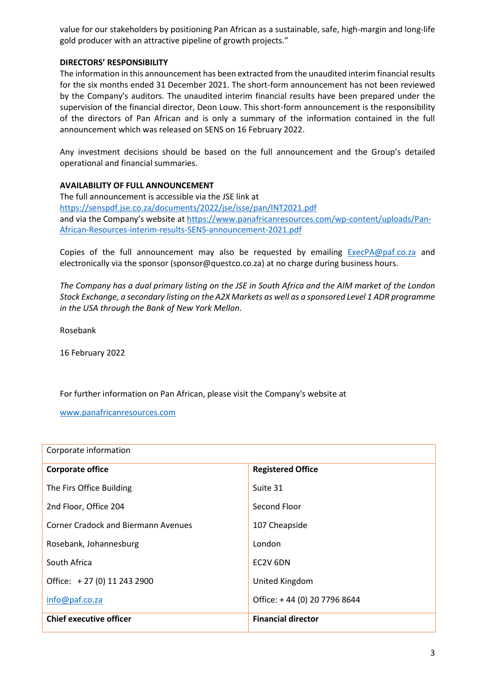value for our stakeholders by positioning Pan African as a sustainable, safe, high-margin and long-life gold producer with an attractive pipeline of growth projects."

#### **DIRECTORS' RESPONSIBILITY**

The information in this announcement has been extracted from the unaudited interim financial results for the six months ended 31 December 2021. The short-form announcement has not been reviewed by the Company's auditors. The unaudited interim financial results have been prepared under the supervision of the financial director, Deon Louw. This short-form announcement is the responsibility of the directors of Pan African and is only a summary of the information contained in the full announcement which was released on SENS on 16 February 2022.

Any investment decisions should be based on the full announcement and the Group's detailed operational and financial summaries.

#### **AVAILABILITY OF FULL ANNOUNCEMENT**

The full announcement is accessible via the JSE link at <https://senspdf.jse.co.za/documents/2022/jse/isse/pan/INT2021.pdf> and via the Company's website at [https://www.panafricanresources.com/wp-content/uploads/Pan-](https://www.panafricanresources.com/wp-content/uploads/Pan-African-Resources-interim-results-SENS-announcement-2021.pdf)[African-Resources-interim-results-SENS-announcement-2021.pdf](https://www.panafricanresources.com/wp-content/uploads/Pan-African-Resources-interim-results-SENS-announcement-2021.pdf)

Copies of the full announcement may also be requested by emailing [ExecPA@paf.co.za](mailto:ExecPA@paf.co.za) and electronically via the sponsor (sponsor@questco.co.za) at no charge during business hours.

*The Company has a dual primary listing on the JSE in South Africa and the AIM market of the London Stock Exchange, a secondary listing on the A2X Markets as well as a sponsored Level 1 ADR programme in the USA through the Bank of New York Mellon.*

Rosebank

16 February 2022

For further information on Pan African, please visit the Company's website at

[www.panafricanresources.com](http://www.panafricanresources.com/)

| Corporate information                      |                              |
|--------------------------------------------|------------------------------|
| <b>Corporate office</b>                    | <b>Registered Office</b>     |
| The Firs Office Building                   | Suite 31                     |
| 2nd Floor, Office 204                      | Second Floor                 |
| <b>Corner Cradock and Biermann Avenues</b> | 107 Cheapside                |
| Rosebank, Johannesburg                     | London                       |
| South Africa                               | EC2V 6DN                     |
| Office: +27 (0) 11 243 2900                | United Kingdom               |
| info@paf.co.za                             | Office: +44 (0) 20 7796 8644 |
| <b>Chief executive officer</b>             | <b>Financial director</b>    |